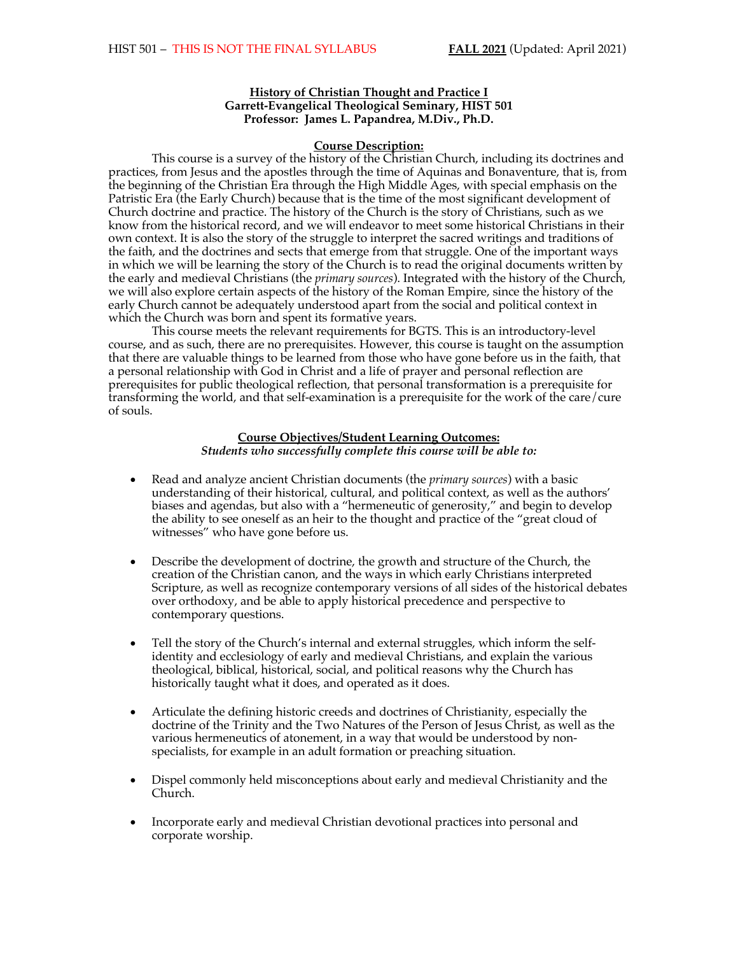#### **History of Christian Thought and Practice I Garrett-Evangelical Theological Seminary, HIST 501 Professor: James L. Papandrea, M.Div., Ph.D.**

#### **Course Description:**

This course is a survey of the history of the Christian Church, including its doctrines and practices, from Jesus and the apostles through the time of Aquinas and Bonaventure, that is, from the beginning of the Christian Era through the High Middle Ages, with special emphasis on the Patristic Era (the Early Church) because that is the time of the most significant development of Church doctrine and practice. The history of the Church is the story of Christians, such as we know from the historical record, and we will endeavor to meet some historical Christians in their own context. It is also the story of the struggle to interpret the sacred writings and traditions of the faith, and the doctrines and sects that emerge from that struggle. One of the important ways in which we will be learning the story of the Church is to read the original documents written by the early and medieval Christians (the *primary sources*). Integrated with the history of the Church, we will also explore certain aspects of the history of the Roman Empire, since the history of the early Church cannot be adequately understood apart from the social and political context in which the Church was born and spent its formative years.

This course meets the relevant requirements for BGTS. This is an introductory-level course, and as such, there are no prerequisites. However, this course is taught on the assumption that there are valuable things to be learned from those who have gone before us in the faith, that a personal relationship with God in Christ and a life of prayer and personal reflection are prerequisites for public theological reflection, that personal transformation is a prerequisite for transforming the world, and that self-examination is a prerequisite for the work of the care/cure of souls.

#### **Course Objectives/Student Learning Outcomes:** *Students who successfully complete this course will be able to:*

- Read and analyze ancient Christian documents (the *primary sources*) with a basic understanding of their historical, cultural, and political context, as well as the authors' biases and agendas, but also with a "hermeneutic of generosity," and begin to develop the ability to see oneself as an heir to the thought and practice of the "great cloud of witnesses" who have gone before us.
- Describe the development of doctrine, the growth and structure of the Church, the creation of the Christian canon, and the ways in which early Christians interpreted Scripture, as well as recognize contemporary versions of all sides of the historical debates over orthodoxy, and be able to apply historical precedence and perspective to contemporary questions.
- Tell the story of the Church's internal and external struggles, which inform the selfidentity and ecclesiology of early and medieval Christians, and explain the various theological, biblical, historical, social, and political reasons why the Church has historically taught what it does, and operated as it does.
- Articulate the defining historic creeds and doctrines of Christianity, especially the doctrine of the Trinity and the Two Natures of the Person of Jesus Christ, as well as the various hermeneutics of atonement, in a way that would be understood by nonspecialists, for example in an adult formation or preaching situation.
- Dispel commonly held misconceptions about early and medieval Christianity and the Church.
- Incorporate early and medieval Christian devotional practices into personal and corporate worship.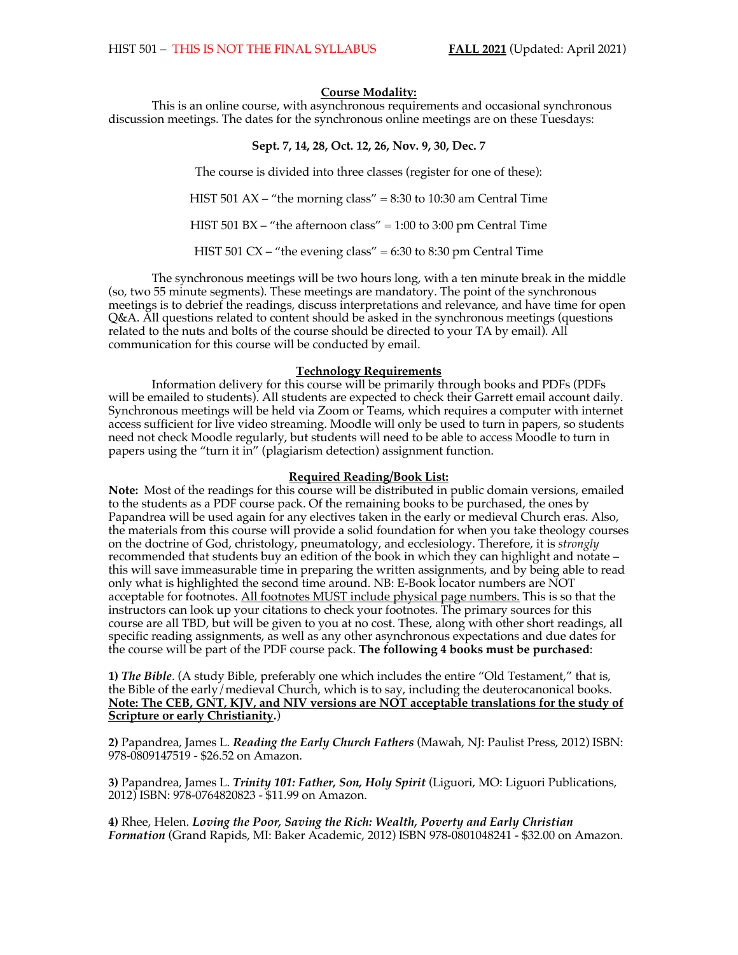## **Course Modality:**

This is an online course, with asynchronous requirements and occasional synchronous discussion meetings. The dates for the synchronous online meetings are on these Tuesdays:

## **Sept. 7, 14, 28, Oct. 12, 26, Nov. 9, 30, Dec. 7**

The course is divided into three classes (register for one of these): HIST 501 AX – "the morning class" =  $8:30$  to 10:30 am Central Time

HIST 501 BX – "the afternoon class" =  $1:00$  to  $3:00$  pm Central Time

HIST 501 CX – "the evening class" =  $6:30$  to  $8:30$  pm Central Time

The synchronous meetings will be two hours long, with a ten minute break in the middle (so, two 55 minute segments). These meetings are mandatory. The point of the synchronous meetings is to debrief the readings, discuss interpretations and relevance, and have time for open Q&A. All questions related to content should be asked in the synchronous meetings (questions related to the nuts and bolts of the course should be directed to your TA by email). All communication for this course will be conducted by email.

#### **Technology Requirements**

Information delivery for this course will be primarily through books and PDFs (PDFs will be emailed to students). All students are expected to check their Garrett email account daily. Synchronous meetings will be held via Zoom or Teams, which requires a computer with internet access sufficient for live video streaming. Moodle will only be used to turn in papers, so students need not check Moodle regularly, but students will need to be able to access Moodle to turn in papers using the "turn it in" (plagiarism detection) assignment function.

#### **Required Reading/Book List:**

**Note:** Most of the readings for this course will be distributed in public domain versions, emailed to the students as a PDF course pack. Of the remaining books to be purchased, the ones by Papandrea will be used again for any electives taken in the early or medieval Church eras. Also, the materials from this course will provide a solid foundation for when you take theology courses on the doctrine of God, christology, pneumatology, and ecclesiology. Therefore, it is *strongly* recommended that students buy an edition of the book in which they can highlight and notate – this will save immeasurable time in preparing the written assignments, and by being able to read only what is highlighted the second time around. NB: E-Book locator numbers are NOT acceptable for footnotes. All footnotes MUST include physical page numbers. This is so that the instructors can look up your citations to check your footnotes. The primary sources for this course are all TBD, but will be given to you at no cost. These, along with other short readings, all specific reading assignments, as well as any other asynchronous expectations and due dates for the course will be part of the PDF course pack. **The following 4 books must be purchased**:

**1)** *The Bible*. (A study Bible, preferably one which includes the entire "Old Testament," that is, the Bible of the early/medieval Church, which is to say, including the deuterocanonical books. **Note: The CEB, GNT, KJV, and NIV versions are NOT acceptable translations for the study of Scripture or early Christianity.**)

**2)** Papandrea, James L. *Reading the Early Church Fathers* (Mawah, NJ: Paulist Press, 2012) ISBN: 978-0809147519 - \$26.52 on Amazon.

**3)** Papandrea, James L. *Trinity 101: Father, Son, Holy Spirit* (Liguori, MO: Liguori Publications, 2012) ISBN: 978-0764820823 - \$11.99 on Amazon.

**4)** Rhee, Helen. *Loving the Poor, Saving the Rich: Wealth, Poverty and Early Christian Formation* (Grand Rapids, MI: Baker Academic, 2012) ISBN 978-0801048241 - \$32.00 on Amazon.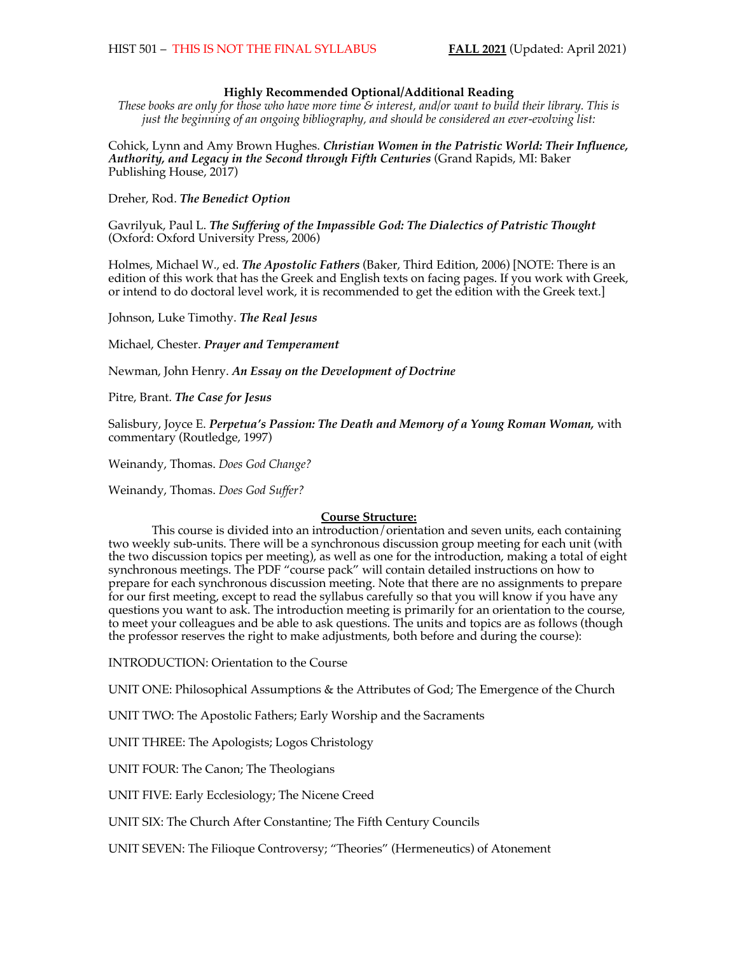## **Highly Recommended Optional/Additional Reading**

*These books are only for those who have more time & interest, and/or want to build their library. This is just the beginning of an ongoing bibliography, and should be considered an ever-evolving list:*

Cohick, Lynn and Amy Brown Hughes. *Christian Women in the Patristic World: Their Influence, Authority, and Legacy in the Second through Fifth Centuries* (Grand Rapids, MI: Baker Publishing House, 2017)

Dreher, Rod. *The Benedict Option*

Gavrilyuk, Paul L. *The Suffering of the Impassible God: The Dialectics of Patristic Thought* (Oxford: Oxford University Press, 2006)

Holmes, Michael W., ed. *The Apostolic Fathers* (Baker, Third Edition, 2006) [NOTE: There is an edition of this work that has the Greek and English texts on facing pages. If you work with Greek, or intend to do doctoral level work, it is recommended to get the edition with the Greek text.]

Johnson, Luke Timothy. *The Real Jesus*

Michael, Chester. *Prayer and Temperament*

Newman, John Henry. *An Essay on the Development of Doctrine*

Pitre, Brant. *The Case for Jesus*

Salisbury, Joyce E. *Perpetua's Passion: The Death and Memory of a Young Roman Woman,* with commentary (Routledge, 1997)

Weinandy, Thomas. *Does God Change?*

Weinandy, Thomas. *Does God Suffer?*

## **Course Structure:**

This course is divided into an introduction/orientation and seven units, each containing two weekly sub-units. There will be a synchronous discussion group meeting for each unit (with the two discussion topics per meeting), as well as one for the introduction, making a total of eight synchronous meetings. The PDF "course pack" will contain detailed instructions on how to prepare for each synchronous discussion meeting. Note that there are no assignments to prepare for our first meeting, except to read the syllabus carefully so that you will know if you have any questions you want to ask. The introduction meeting is primarily for an orientation to the course, to meet your colleagues and be able to ask questions. The units and topics are as follows (though the professor reserves the right to make adjustments, both before and during the course):

INTRODUCTION: Orientation to the Course

UNIT ONE: Philosophical Assumptions & the Attributes of God; The Emergence of the Church

UNIT TWO: The Apostolic Fathers; Early Worship and the Sacraments

UNIT THREE: The Apologists; Logos Christology

UNIT FOUR: The Canon; The Theologians

UNIT FIVE: Early Ecclesiology; The Nicene Creed

UNIT SIX: The Church After Constantine; The Fifth Century Councils

UNIT SEVEN: The Filioque Controversy; "Theories" (Hermeneutics) of Atonement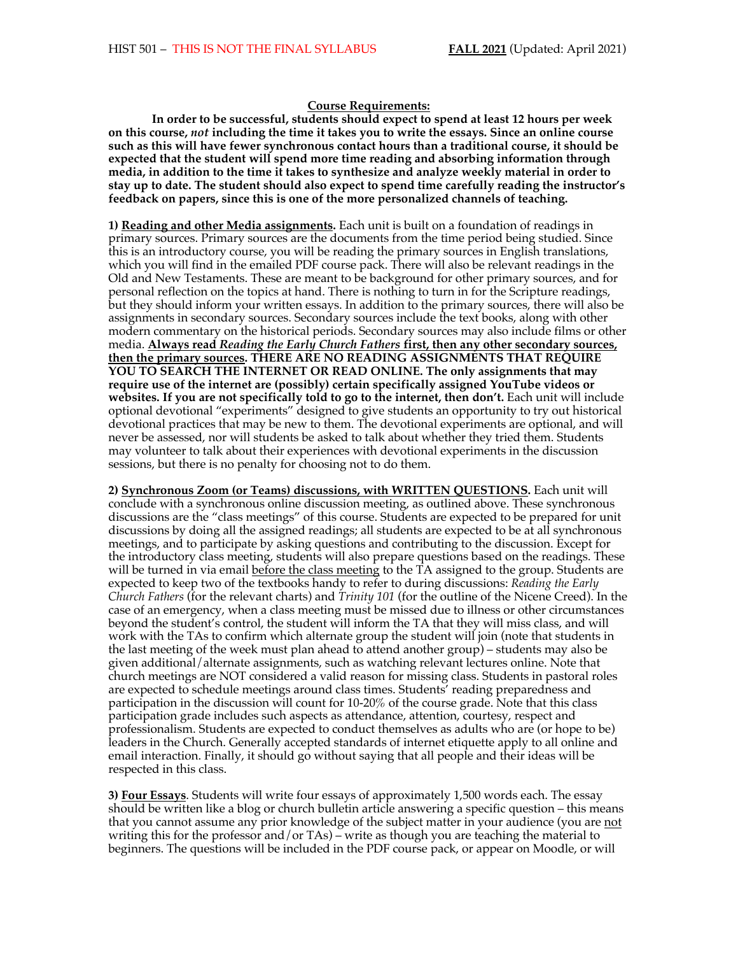#### **Course Requirements:**

**In order to be successful, students should expect to spend at least 12 hours per week on this course,** *not* **including the time it takes you to write the essays. Since an online course such as this will have fewer synchronous contact hours than a traditional course, it should be expected that the student will spend more time reading and absorbing information through media, in addition to the time it takes to synthesize and analyze weekly material in order to stay up to date. The student should also expect to spend time carefully reading the instructor's feedback on papers, since this is one of the more personalized channels of teaching.** 

**1) Reading and other Media assignments.** Each unit is built on a foundation of readings in primary sources. Primary sources are the documents from the time period being studied. Since this is an introductory course, you will be reading the primary sources in English translations, which you will find in the emailed PDF course pack. There will also be relevant readings in the Old and New Testaments. These are meant to be background for other primary sources, and for personal reflection on the topics at hand. There is nothing to turn in for the Scripture readings, but they should inform your written essays. In addition to the primary sources, there will also be assignments in secondary sources. Secondary sources include the text books, along with other modern commentary on the historical periods. Secondary sources may also include films or other media. **Always read** *Reading the Early Church Fathers* **first, then any other secondary sources, then the primary sources. THERE ARE NO READING ASSIGNMENTS THAT REQUIRE YOU TO SEARCH THE INTERNET OR READ ONLINE. The only assignments that may require use of the internet are (possibly) certain specifically assigned YouTube videos or websites. If you are not specifically told to go to the internet, then don't.** Each unit will include optional devotional "experiments" designed to give students an opportunity to try out historical devotional practices that may be new to them. The devotional experiments are optional, and will never be assessed, nor will students be asked to talk about whether they tried them. Students may volunteer to talk about their experiences with devotional experiments in the discussion sessions, but there is no penalty for choosing not to do them.

**2) Synchronous Zoom (or Teams) discussions, with WRITTEN QUESTIONS.** Each unit will conclude with a synchronous online discussion meeting, as outlined above. These synchronous discussions are the "class meetings" of this course. Students are expected to be prepared for unit discussions by doing all the assigned readings; all students are expected to be at all synchronous meetings, and to participate by asking questions and contributing to the discussion. Except for the introductory class meeting, students will also prepare questions based on the readings. These will be turned in via email before the class meeting to the TA assigned to the group. Students are expected to keep two of the textbooks handy to refer to during discussions: *Reading the Early Church Fathers* (for the relevant charts) and *Trinity 101* (for the outline of the Nicene Creed). In the case of an emergency, when a class meeting must be missed due to illness or other circumstances beyond the student's control, the student will inform the TA that they will miss class, and will work with the TAs to confirm which alternate group the student will join (note that students in the last meeting of the week must plan ahead to attend another group) – students may also be given additional/alternate assignments, such as watching relevant lectures online. Note that church meetings are NOT considered a valid reason for missing class. Students in pastoral roles are expected to schedule meetings around class times. Students' reading preparedness and participation in the discussion will count for 10-20% of the course grade. Note that this class participation grade includes such aspects as attendance, attention, courtesy, respect and professionalism. Students are expected to conduct themselves as adults who are (or hope to be) leaders in the Church. Generally accepted standards of internet etiquette apply to all online and email interaction. Finally, it should go without saying that all people and their ideas will be respected in this class.

**3) Four Essays**. Students will write four essays of approximately 1,500 words each. The essay should be written like a blog or church bulletin article answering a specific question – this means that you cannot assume any prior knowledge of the subject matter in your audience (you are not writing this for the professor and/or TAs) – write as though you are teaching the material to beginners. The questions will be included in the PDF course pack, or appear on Moodle, or will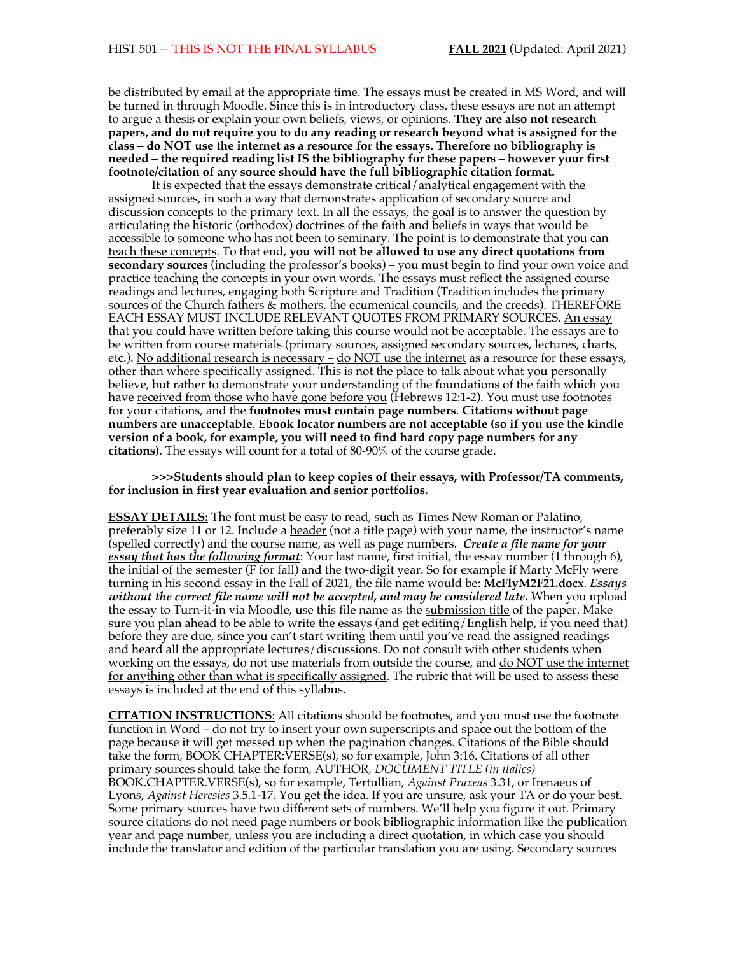be distributed by email at the appropriate time. The essays must be created in MS Word, and will be turned in through Moodle. Since this is in introductory class, these essays are not an attempt to argue a thesis or explain your own beliefs, views, or opinions. **They are also not research papers, and do not require you to do any reading or research beyond what is assigned for the class – do NOT use the internet as a resource for the essays. Therefore no bibliography is needed – the required reading list IS the bibliography for these papers – however your first footnote/citation of any source should have the full bibliographic citation format.**

It is expected that the essays demonstrate critical/analytical engagement with the assigned sources, in such a way that demonstrates application of secondary source and discussion concepts to the primary text. In all the essays, the goal is to answer the question by articulating the historic (orthodox) doctrines of the faith and beliefs in ways that would be accessible to someone who has not been to seminary. The point is to demonstrate that you can teach these concepts. To that end, **you will not be allowed to use any direct quotations from secondary sources** (including the professor's books) – you must begin to find your own voice and practice teaching the concepts in your own words. The essays must reflect the assigned course readings and lectures, engaging both Scripture and Tradition (Tradition includes the primary sources of the Church fathers & mothers, the ecumenical councils, and the creeds). THEREFORE EACH ESSAY MUST INCLUDE RELEVANT QUOTES FROM PRIMARY SOURCES. An essay that you could have written before taking this course would not be acceptable. The essays are to be written from course materials (primary sources, assigned secondary sources, lectures, charts, etc.). No additional research is necessary – do NOT use the internet as a resource for these essays, other than where specifically assigned. This is not the place to talk about what you personally believe, but rather to demonstrate your understanding of the foundations of the faith which you have <u>received from those who have gone before you</u> (Hebrews 12:1-2). You must use footnotes for your citations, and the **footnotes must contain page numbers**. **Citations without page numbers are unacceptable**. **Ebook locator numbers are not acceptable (so if you use the kindle version of a book, for example, you will need to find hard copy page numbers for any citations)**. The essays will count for a total of 80-90% of the course grade.

**>>>Students should plan to keep copies of their essays, with Professor/TA comments, for inclusion in first year evaluation and senior portfolios.**

**ESSAY DETAILS:** The font must be easy to read, such as Times New Roman or Palatino, preferably size 11 or 12. Include a header (not a title page) with your name, the instructor's name (spelled correctly) and the course name, as well as page numbers. *Create a file name for your essay that has the following format*: Your last name, first initial, the essay number (1 through 6), the initial of the semester (F for fall) and the two-digit year. So for example if Marty McFly were turning in his second essay in the Fall of 2021, the file name would be: **McFlyM2F21.docx**. *Essays without the correct file name will not be accepted, and may be considered late.* When you upload the essay to Turn-it-in via Moodle, use this file name as the submission title of the paper. Make sure you plan ahead to be able to write the essays (and get editing/English help, if you need that) before they are due, since you can't start writing them until you've read the assigned readings and heard all the appropriate lectures/discussions. Do not consult with other students when working on the essays, do not use materials from outside the course, and do NOT use the internet for anything other than what is specifically assigned. The rubric that will be used to assess these essays is included at the end of this syllabus.

**CITATION INSTRUCTIONS**: All citations should be footnotes, and you must use the footnote function in Word – do not try to insert your own superscripts and space out the bottom of the page because it will get messed up when the pagination changes. Citations of the Bible should take the form, BOOK CHAPTER:VERSE(s), so for example, John 3:16. Citations of all other primary sources should take the form, AUTHOR, *DOCUMENT TITLE (in italics)* BOOK.CHAPTER.VERSE(s), so for example, Tertullian, *Against Praxeas* 3.31, or Irenaeus of Lyons, *Against Heresies* 3.5.1-17. You get the idea. If you are unsure, ask your TA or do your best. Some primary sources have two different sets of numbers. We'll help you figure it out. Primary source citations do not need page numbers or book bibliographic information like the publication year and page number, unless you are including a direct quotation, in which case you should include the translator and edition of the particular translation you are using. Secondary sources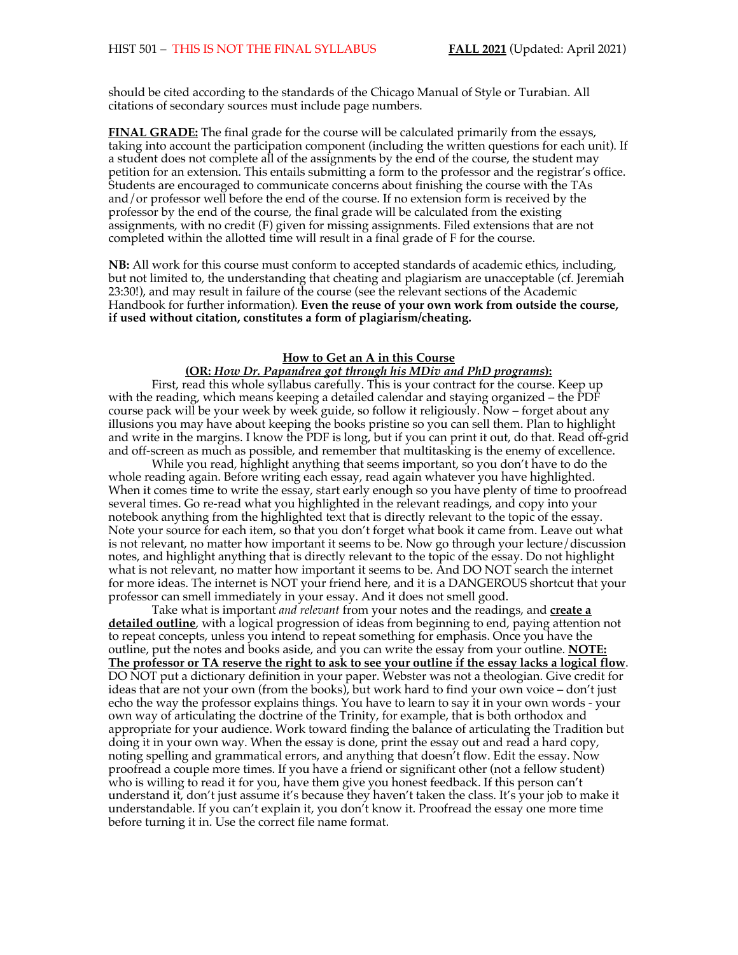should be cited according to the standards of the Chicago Manual of Style or Turabian. All citations of secondary sources must include page numbers.

**FINAL GRADE:** The final grade for the course will be calculated primarily from the essays, taking into account the participation component (including the written questions for each unit). If a student does not complete all of the assignments by the end of the course, the student may petition for an extension. This entails submitting a form to the professor and the registrar's office. Students are encouraged to communicate concerns about finishing the course with the TAs and/or professor well before the end of the course. If no extension form is received by the professor by the end of the course, the final grade will be calculated from the existing assignments, with no credit (F) given for missing assignments. Filed extensions that are not completed within the allotted time will result in a final grade of F for the course.

**NB:** All work for this course must conform to accepted standards of academic ethics, including, but not limited to, the understanding that cheating and plagiarism are unacceptable (cf. Jeremiah 23:30!), and may result in failure of the course (see the relevant sections of the Academic Handbook for further information). **Even the reuse of your own work from outside the course, if used without citation, constitutes a form of plagiarism/cheating.**

## **How to Get an A in this Course**

## **(OR:** *How Dr. Papandrea got through his MDiv and PhD programs***):**

First, read this whole syllabus carefully. This is your contract for the course. Keep up with the reading, which means keeping a detailed calendar and staying organized – the PDF course pack will be your week by week guide, so follow it religiously. Now – forget about any illusions you may have about keeping the books pristine so you can sell them. Plan to highlight and write in the margins. I know the PDF is long, but if you can print it out, do that. Read off-grid and off-screen as much as possible, and remember that multitasking is the enemy of excellence.

While you read, highlight anything that seems important, so you don't have to do the whole reading again. Before writing each essay, read again whatever you have highlighted. When it comes time to write the essay, start early enough so you have plenty of time to proofread several times. Go re-read what you highlighted in the relevant readings, and copy into your notebook anything from the highlighted text that is directly relevant to the topic of the essay. Note your source for each item, so that you don't forget what book it came from. Leave out what is not relevant, no matter how important it seems to be. Now go through your lecture/discussion notes, and highlight anything that is directly relevant to the topic of the essay. Do not highlight what is not relevant, no matter how important it seems to be. And DO NOT search the internet for more ideas. The internet is NOT your friend here, and it is a DANGEROUS shortcut that your professor can smell immediately in your essay. And it does not smell good.

Take what is important *and relevant* from your notes and the readings, and **create a detailed outline**, with a logical progression of ideas from beginning to end, paying attention not to repeat concepts, unless you intend to repeat something for emphasis. Once you have the outline, put the notes and books aside, and you can write the essay from your outline. **NOTE: The professor or TA reserve the right to ask to see your outline if the essay lacks a logical flow**. DO NOT put a dictionary definition in your paper. Webster was not a theologian. Give credit for ideas that are not your own (from the books), but work hard to find your own voice – don't just echo the way the professor explains things. You have to learn to say it in your own words - your own way of articulating the doctrine of the Trinity, for example, that is both orthodox and appropriate for your audience. Work toward finding the balance of articulating the Tradition but doing it in your own way. When the essay is done, print the essay out and read a hard copy, noting spelling and grammatical errors, and anything that doesn't flow. Edit the essay. Now proofread a couple more times. If you have a friend or significant other (not a fellow student) who is willing to read it for you, have them give you honest feedback. If this person can't understand it, don't just assume it's because they haven't taken the class. It's your job to make it understandable. If you can't explain it, you don't know it. Proofread the essay one more time before turning it in. Use the correct file name format.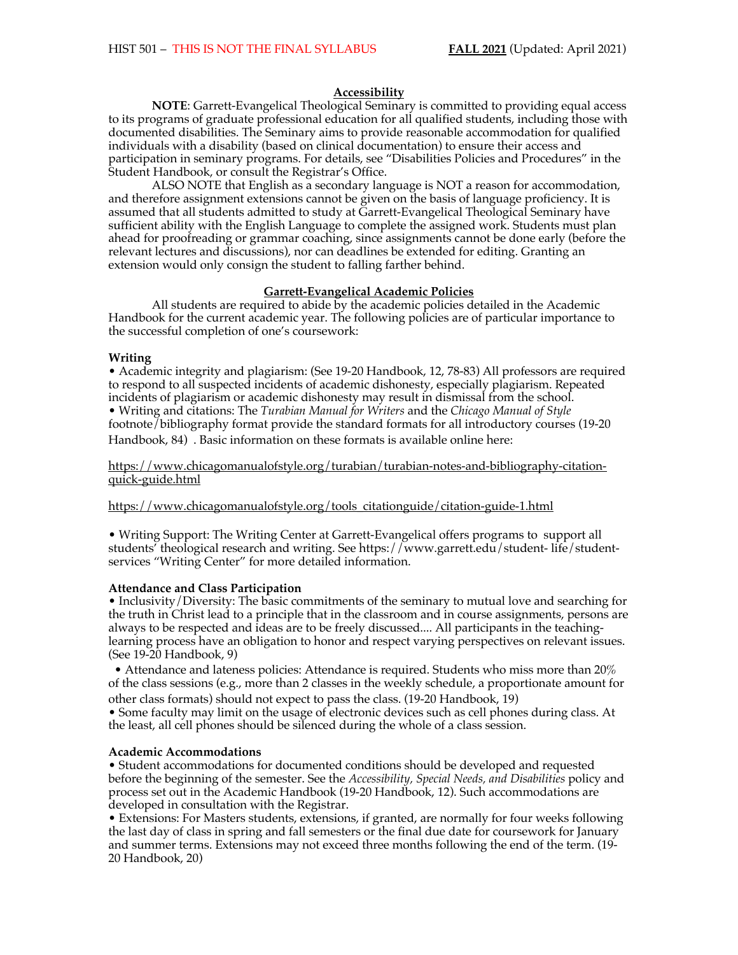## **Accessibility**

**NOTE**: Garrett-Evangelical Theological Seminary is committed to providing equal access to its programs of graduate professional education for all qualified students, including those with documented disabilities. The Seminary aims to provide reasonable accommodation for qualified individuals with a disability (based on clinical documentation) to ensure their access and participation in seminary programs. For details, see "Disabilities Policies and Procedures" in the Student Handbook, or consult the Registrar's Office.

ALSO NOTE that English as a secondary language is NOT a reason for accommodation, and therefore assignment extensions cannot be given on the basis of language proficiency. It is assumed that all students admitted to study at Garrett-Evangelical Theological Seminary have sufficient ability with the English Language to complete the assigned work. Students must plan ahead for proofreading or grammar coaching, since assignments cannot be done early (before the relevant lectures and discussions), nor can deadlines be extended for editing. Granting an extension would only consign the student to falling farther behind.

## **Garrett-Evangelical Academic Policies**

All students are required to abide by the academic policies detailed in the Academic Handbook for the current academic year. The following policies are of particular importance to the successful completion of one's coursework:

#### **Writing**

• Academic integrity and plagiarism: (See 19-20 Handbook, 12, 78-83) All professors are required to respond to all suspected incidents of academic dishonesty, especially plagiarism. Repeated incidents of plagiarism or academic dishonesty may result in dismissal from the school. • Writing and citations: The *Turabian Manual for Writers* and the *Chicago Manual of Style*  footnote/bibliography format provide the standard formats for all introductory courses (19-20 Handbook, 84) . Basic information on these formats is available online here:

https://www.chicagomanualofstyle.org/turabian/turabian-notes-and-bibliography-citationquick-guide.html

https://www.chicagomanualofstyle.org/tools\_citationguide/citation-guide-1.html

• Writing Support: The Writing Center at Garrett-Evangelical offers programs to support all students' theological research and writing. See https://www.garrett.edu/student- life/studentservices "Writing Center" for more detailed information.

#### **Attendance and Class Participation**

• Inclusivity/Diversity: The basic commitments of the seminary to mutual love and searching for the truth in Christ lead to a principle that in the classroom and in course assignments, persons are always to be respected and ideas are to be freely discussed.... All participants in the teachinglearning process have an obligation to honor and respect varying perspectives on relevant issues. (See 19-20 Handbook, 9)

• Attendance and lateness policies: Attendance is required. Students who miss more than 20% of the class sessions (e.g., more than 2 classes in the weekly schedule, a proportionate amount for other class formats) should not expect to pass the class. (19-20 Handbook, 19)

• Some faculty may limit on the usage of electronic devices such as cell phones during class. At the least, all cell phones should be silenced during the whole of a class session.

#### **Academic Accommodations**

• Student accommodations for documented conditions should be developed and requested before the beginning of the semester. See the *Accessibility, Special Needs, and Disabilities* policy and process set out in the Academic Handbook (19-20 Handbook, 12). Such accommodations are developed in consultation with the Registrar.

• Extensions: For Masters students, extensions, if granted, are normally for four weeks following the last day of class in spring and fall semesters or the final due date for coursework for January and summer terms. Extensions may not exceed three months following the end of the term. (19- 20 Handbook, 20)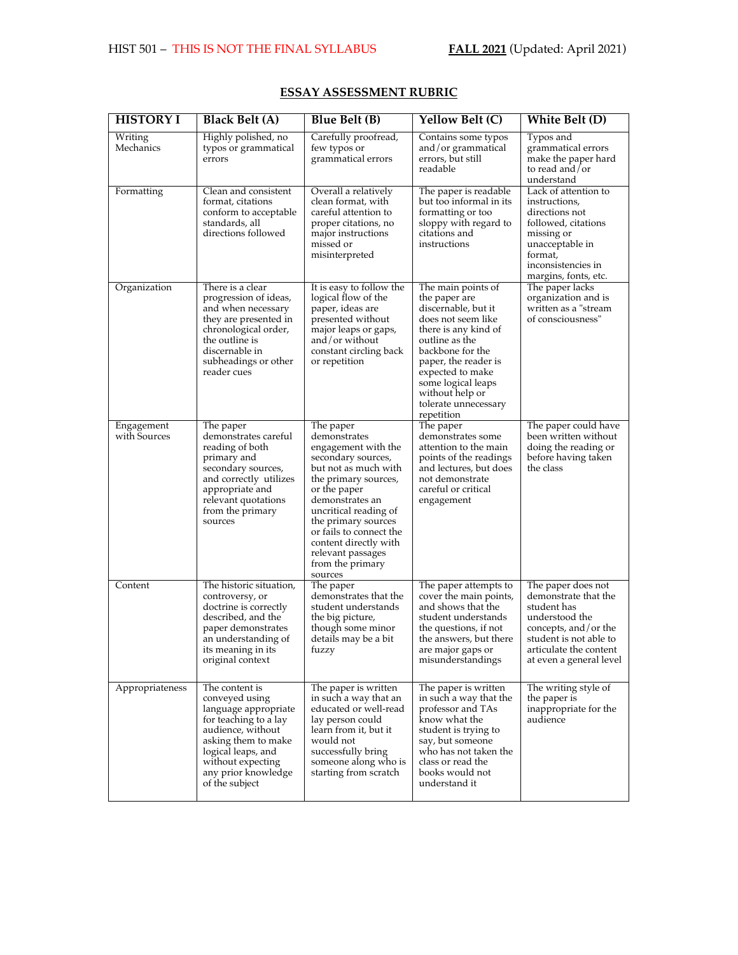| <b>HISTORY I</b>           | <b>Black Belt (A)</b>                                                                                                                                                                                             | <b>Blue Belt (B)</b>                                                                                                                                                                                                                                                                                              | <b>Yellow Belt (C)</b>                                                                                                                                                                                                                                                    | White Belt (D)                                                                                                                                                                     |
|----------------------------|-------------------------------------------------------------------------------------------------------------------------------------------------------------------------------------------------------------------|-------------------------------------------------------------------------------------------------------------------------------------------------------------------------------------------------------------------------------------------------------------------------------------------------------------------|---------------------------------------------------------------------------------------------------------------------------------------------------------------------------------------------------------------------------------------------------------------------------|------------------------------------------------------------------------------------------------------------------------------------------------------------------------------------|
| Writing<br>Mechanics       | Highly polished, no<br>typos or grammatical<br>errors                                                                                                                                                             | Carefully proofread,<br>few typos or<br>grammatical errors                                                                                                                                                                                                                                                        | Contains some typos<br>and/or grammatical<br>errors, but still<br>readable                                                                                                                                                                                                | Typos and<br>grammatical errors<br>make the paper hard<br>to read and/or<br>understand                                                                                             |
| Formatting                 | Clean and consistent<br>format, citations<br>conform to acceptable<br>standards, all<br>directions followed                                                                                                       | Overall a relatively<br>clean format, with<br>careful attention to<br>proper citations, no<br>major instructions<br>missed or<br>misinterpreted                                                                                                                                                                   | The paper is readable<br>but too informal in its<br>formatting or too<br>sloppy with regard to<br>citations and<br>instructions                                                                                                                                           | Lack of attention to<br>instructions,<br>directions not<br>followed, citations<br>missing or<br>unacceptable in<br>format,<br>inconsistencies in<br>margins, fonts, etc.           |
| Organization               | There is a clear<br>progression of ideas,<br>and when necessary<br>they are presented in<br>chronological order,<br>the outline is<br>discernable in<br>subheadings or other<br>reader cues                       | It is easy to follow the<br>logical flow of the<br>paper, ideas are<br>presented without<br>major leaps or gaps,<br>and/or without<br>constant circling back<br>or repetition                                                                                                                                     | The main points of<br>the paper are<br>discernable, but it<br>does not seem like<br>there is any kind of<br>outline as the<br>backbone for the<br>paper, the reader is<br>expected to make<br>some logical leaps<br>without help or<br>tolerate unnecessary<br>repetition | The paper lacks<br>organization and is<br>written as a "stream<br>of consciousness"                                                                                                |
| Engagement<br>with Sources | The paper<br>demonstrates careful<br>reading of both<br>primary and<br>secondary sources,<br>and correctly utilizes<br>appropriate and<br>relevant quotations<br>from the primary<br>sources                      | The paper<br>demonstrates<br>engagement with the<br>secondary sources,<br>but not as much with<br>the primary sources,<br>or the paper<br>demonstrates an<br>uncritical reading of<br>the primary sources<br>or fails to connect the<br>content directly with<br>relevant passages<br>from the primary<br>sources | The paper<br>demonstrates some<br>attention to the main<br>points of the readings<br>and lectures, but does<br>not demonstrate<br>careful or critical<br>engagement                                                                                                       | The paper could have<br>been written without<br>doing the reading or<br>before having taken<br>the class                                                                           |
| Content                    | The historic situation,<br>controversy, or<br>doctrine is correctly<br>described, and the<br>paper demonstrates<br>an understanding of<br>its meaning in its<br>original context                                  | The paper<br>demonstrates that the<br>student understands<br>the big picture,<br>though some minor<br>details may be a bit<br>fuzzy                                                                                                                                                                               | The paper attempts to<br>cover the main points,<br>and shows that the<br>student understands<br>the questions, if not<br>the answers, but there<br>are major gaps or<br>misunderstandings                                                                                 | The paper does not<br>demonstrate that the<br>student has<br>understood the<br>concepts, and/or the<br>student is not able to<br>articulate the content<br>at even a general level |
| Appropriateness            | The content is<br>conveyed using<br>language appropriate<br>for teaching to a lay<br>audience, without<br>asking them to make<br>logical leaps, and<br>without expecting<br>any prior knowledge<br>of the subject | The paper is written<br>in such a way that an<br>educated or well-read<br>lay person could<br>learn from it, but it<br>would not<br>successfully bring<br>someone along who is<br>starting from scratch                                                                                                           | The paper is written<br>in such a way that the<br>professor and TAs<br>know what the<br>student is trying to<br>say, but someone<br>who has not taken the<br>class or read the<br>books would not<br>understand it                                                        | The writing style of<br>the paper is<br>inappropriate for the<br>audience                                                                                                          |

## **ESSAY ASSESSMENT RUBRIC**